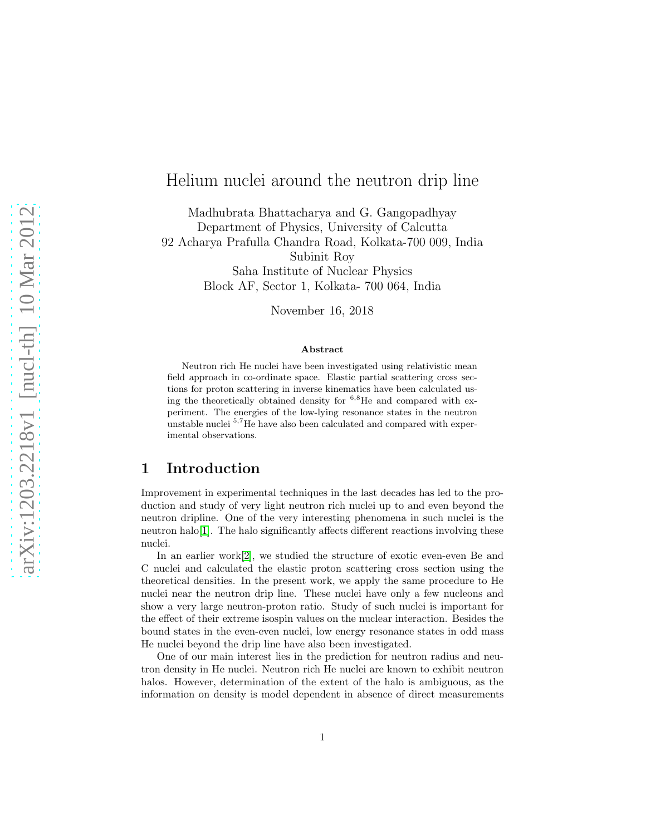# Helium nuclei around the neutron drip line

Madhubrata Bhattacharya and G. Gangopadhyay Department of Physics, University of Calcutta 92 Acharya Prafulla Chandra Road, Kolkata-700 009, India Subinit Roy Saha Institute of Nuclear Physics Block AF, Sector 1, Kolkata- 700 064, India

November 16, 2018

#### Abstract

Neutron rich He nuclei have been investigated using relativistic mean field approach in co-ordinate space. Elastic partial scattering cross sections for proton scattering in inverse kinematics have been calculated using the theoretically obtained density for  $6.8$ He and compared with experiment. The energies of the low-lying resonance states in the neutron unstable nuclei <sup>5</sup>,<sup>7</sup>He have also been calculated and compared with experimental observations.

### 1 Introduction

Improvement in experimental techniques in the last decades has led to the production and study of very light neutron rich nuclei up to and even beyond the neutron dripline. One of the very interesting phenomena in such nuclei is the neutron halo $[1]$ . The halo significantly affects different reactions involving these nuclei.

In an earlier work[\[2\]](#page-9-1), we studied the structure of exotic even-even Be and C nuclei and calculated the elastic proton scattering cross section using the theoretical densities. In the present work, we apply the same procedure to He nuclei near the neutron drip line. These nuclei have only a few nucleons and show a very large neutron-proton ratio. Study of such nuclei is important for the effect of their extreme isospin values on the nuclear interaction. Besides the bound states in the even-even nuclei, low energy resonance states in odd mass He nuclei beyond the drip line have also been investigated.

One of our main interest lies in the prediction for neutron radius and neutron density in He nuclei. Neutron rich He nuclei are known to exhibit neutron halos. However, determination of the extent of the halo is ambiguous, as the information on density is model dependent in absence of direct measurements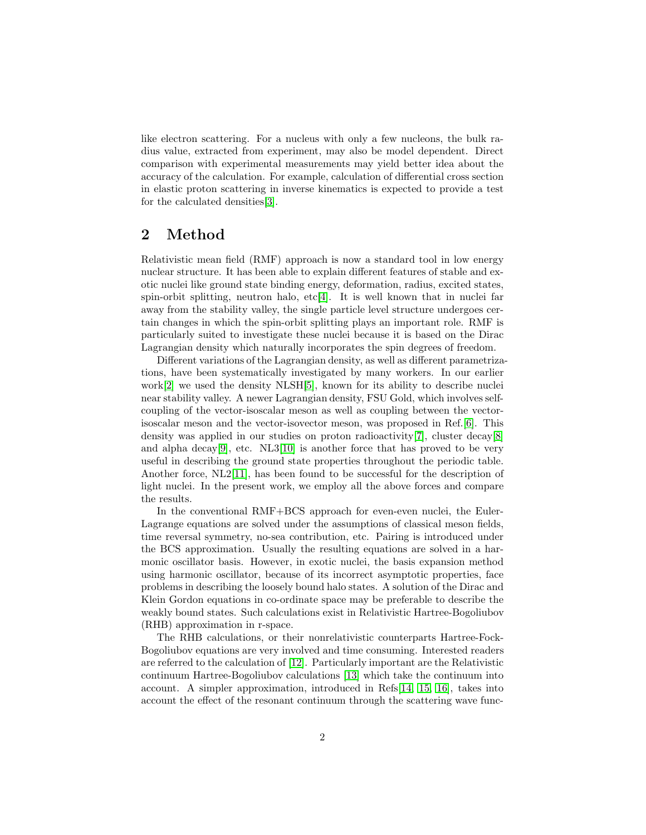like electron scattering. For a nucleus with only a few nucleons, the bulk radius value, extracted from experiment, may also be model dependent. Direct comparison with experimental measurements may yield better idea about the accuracy of the calculation. For example, calculation of differential cross section in elastic proton scattering in inverse kinematics is expected to provide a test for the calculated densities[\[3\]](#page-9-2).

### 2 Method

Relativistic mean field (RMF) approach is now a standard tool in low energy nuclear structure. It has been able to explain different features of stable and exotic nuclei like ground state binding energy, deformation, radius, excited states, spin-orbit splitting, neutron halo,  $\text{etc.} [4]$  $\text{etc.} [4]$ . It is well known that in nuclei far away from the stability valley, the single particle level structure undergoes certain changes in which the spin-orbit splitting plays an important role. RMF is particularly suited to investigate these nuclei because it is based on the Dirac Lagrangian density which naturally incorporates the spin degrees of freedom.

Different variations of the Lagrangian density, as well as different parametrizations, have been systematically investigated by many workers. In our earlier work[\[2\]](#page-9-1) we used the density NLSH[\[5\]](#page-9-4), known for its ability to describe nuclei near stability valley. A newer Lagrangian density, FSU Gold, which involves selfcoupling of the vector-isoscalar meson as well as coupling between the vectorisoscalar meson and the vector-isovector meson, was proposed in Ref.[\[6\]](#page-9-5). This density was applied in our studies on proton radioactivity[\[7\]](#page-9-6), cluster decay[\[8\]](#page-9-7) and alpha decay<sup>[\[9\]](#page-9-8)</sup>, etc. NL3<sup>[\[10\]](#page-9-9)</sup> is another force that has proved to be very useful in describing the ground state properties throughout the periodic table. Another force, NL2[\[11\]](#page-9-10), has been found to be successful for the description of light nuclei. In the present work, we employ all the above forces and compare the results.

In the conventional RMF+BCS approach for even-even nuclei, the Euler-Lagrange equations are solved under the assumptions of classical meson fields, time reversal symmetry, no-sea contribution, etc. Pairing is introduced under the BCS approximation. Usually the resulting equations are solved in a harmonic oscillator basis. However, in exotic nuclei, the basis expansion method using harmonic oscillator, because of its incorrect asymptotic properties, face problems in describing the loosely bound halo states. A solution of the Dirac and Klein Gordon equations in co-ordinate space may be preferable to describe the weakly bound states. Such calculations exist in Relativistic Hartree-Bogoliubov (RHB) approximation in r-space.

The RHB calculations, or their nonrelativistic counterparts Hartree-Fock-Bogoliubov equations are very involved and time consuming. Interested readers are referred to the calculation of [\[12\]](#page-9-11). Particularly important are the Relativistic continuum Hartree-Bogoliubov calculations [\[13\]](#page-9-12) which take the continuum into account. A simpler approximation, introduced in Refs[\[14,](#page-9-13) [15,](#page-9-14) [16\]](#page-9-15), takes into account the effect of the resonant continuum through the scattering wave func-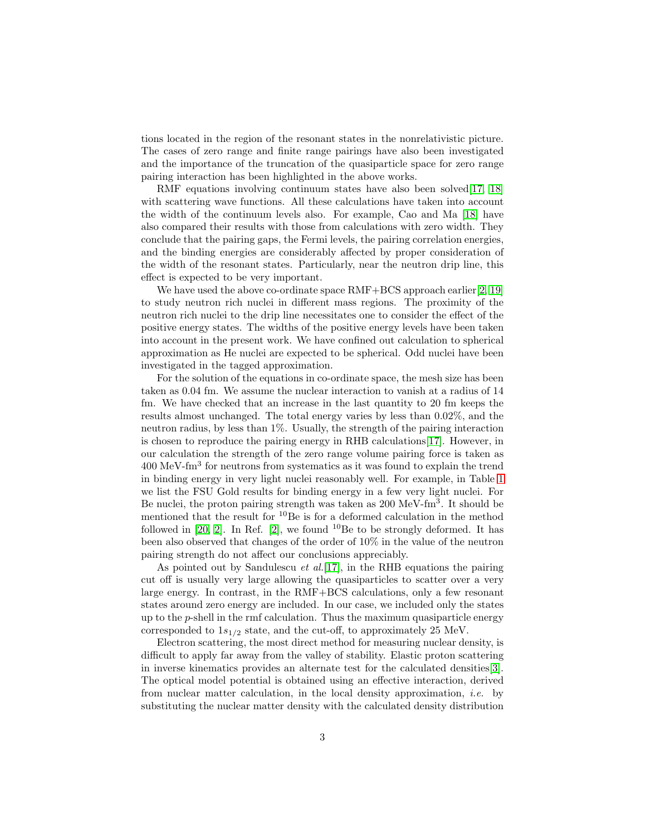tions located in the region of the resonant states in the nonrelativistic picture. The cases of zero range and finite range pairings have also been investigated and the importance of the truncation of the quasiparticle space for zero range pairing interaction has been highlighted in the above works.

RMF equations involving continuum states have also been solved [\[17,](#page-9-16) [18\]](#page-9-17) with scattering wave functions. All these calculations have taken into account the width of the continuum levels also. For example, Cao and Ma [\[18\]](#page-9-17) have also compared their results with those from calculations with zero width. They conclude that the pairing gaps, the Fermi levels, the pairing correlation energies, and the binding energies are considerably affected by proper consideration of the width of the resonant states. Particularly, near the neutron drip line, this effect is expected to be very important.

We have used the above co-ordinate space RMF+BCS approach earlier[\[2,](#page-9-1) [19\]](#page-9-18) to study neutron rich nuclei in different mass regions. The proximity of the neutron rich nuclei to the drip line necessitates one to consider the effect of the positive energy states. The widths of the positive energy levels have been taken into account in the present work. We have confined out calculation to spherical approximation as He nuclei are expected to be spherical. Odd nuclei have been investigated in the tagged approximation.

For the solution of the equations in co-ordinate space, the mesh size has been taken as 0.04 fm. We assume the nuclear interaction to vanish at a radius of 14 fm. We have checked that an increase in the last quantity to 20 fm keeps the results almost unchanged. The total energy varies by less than 0.02%, and the neutron radius, by less than 1%. Usually, the strength of the pairing interaction is chosen to reproduce the pairing energy in RHB calculations[\[17\]](#page-9-16). However, in our calculation the strength of the zero range volume pairing force is taken as 400 MeV-fm<sup>3</sup> for neutrons from systematics as it was found to explain the trend in binding energy in very light nuclei reasonably well. For example, in Table [1](#page-3-0) we list the FSU Gold results for binding energy in a few very light nuclei. For Be nuclei, the proton pairing strength was taken as 200 MeV-fm<sup>3</sup>. It should be mentioned that the result for <sup>10</sup>Be is for a deformed calculation in the method followed in  $[20, 2]$  $[20, 2]$ . In Ref.  $[2]$ , we found  $^{10}$ Be to be strongly deformed. It has been also observed that changes of the order of 10% in the value of the neutron pairing strength do not affect our conclusions appreciably.

As pointed out by Sandulescu *et al.*[\[17\]](#page-9-16), in the RHB equations the pairing cut off is usually very large allowing the quasiparticles to scatter over a very large energy. In contrast, in the RMF+BCS calculations, only a few resonant states around zero energy are included. In our case, we included only the states up to the  $p$ -shell in the rmf calculation. Thus the maximum quasiparticle energy corresponded to  $1s_{1/2}$  state, and the cut-off, to approximately 25 MeV.

Electron scattering, the most direct method for measuring nuclear density, is difficult to apply far away from the valley of stability. Elastic proton scattering in inverse kinematics provides an alternate test for the calculated densities[\[3\]](#page-9-2). The optical model potential is obtained using an effective interaction, derived from nuclear matter calculation, in the local density approximation, *i.e.* by substituting the nuclear matter density with the calculated density distribution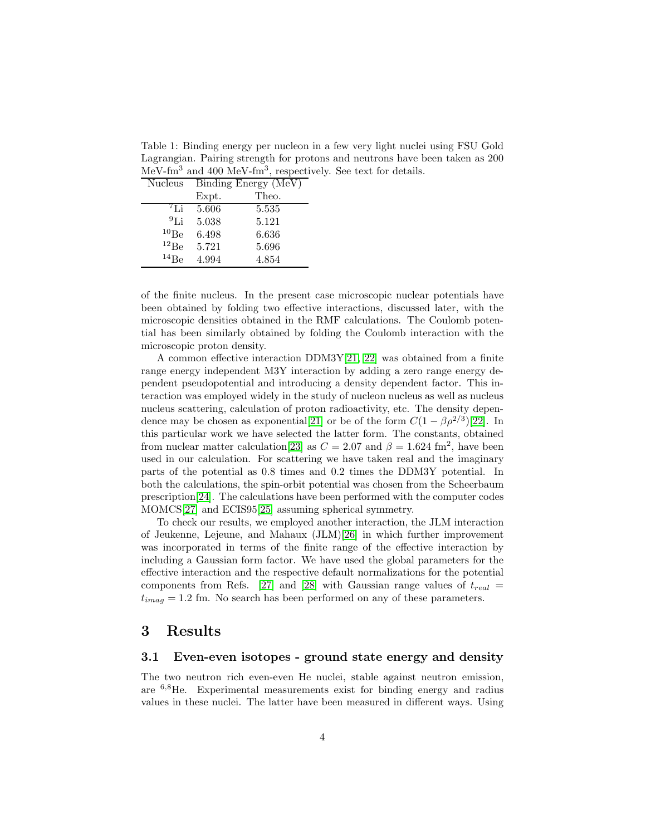<span id="page-3-0"></span>Table 1: Binding energy per nucleon in a few very light nuclei using FSU Gold Lagrangian. Pairing strength for protons and neutrons have been taken as 200 MeV-fm<sup>3</sup> and 400 MeV-fm<sup>3</sup>, respectively. See text for details.

| <b>Nucleus</b> | Binding Energy (MeV) |       |
|----------------|----------------------|-------|
|                | Expt.                | Theo. |
| $^{7}$ Li      | 5.606                | 5.535 |
| 91i            | 5.038                | 5.121 |
| 10Be           | 6.498                | 6.636 |
| $^{12}Be$      | 5.721                | 5.696 |
| $^{14}Be$      | 4.994                | 4.854 |

of the finite nucleus. In the present case microscopic nuclear potentials have been obtained by folding two effective interactions, discussed later, with the microscopic densities obtained in the RMF calculations. The Coulomb potential has been similarly obtained by folding the Coulomb interaction with the microscopic proton density.

A common effective interaction DDM3Y[\[21,](#page-10-1) [22\]](#page-10-2) was obtained from a finite range energy independent M3Y interaction by adding a zero range energy dependent pseudopotential and introducing a density dependent factor. This interaction was employed widely in the study of nucleon nucleus as well as nucleus nucleus scattering, calculation of proton radioactivity, etc. The density depen-dence may be chosen as exponential[\[21\]](#page-10-1) or be of the form  $C(1 - \beta \rho^{2/3})$ [\[22\]](#page-10-2). In this particular work we have selected the latter form. The constants, obtained from nuclear matter calculation<sup>[\[23\]](#page-10-3)</sup> as  $C = 2.07$  and  $\beta = 1.624$  fm<sup>2</sup>, have been used in our calculation. For scattering we have taken real and the imaginary parts of the potential as 0.8 times and 0.2 times the DDM3Y potential. In both the calculations, the spin-orbit potential was chosen from the Scheerbaum prescription[\[24\]](#page-10-4). The calculations have been performed with the computer codes MOMCS[\[27\]](#page-10-5) and ECIS95[\[25\]](#page-10-6) assuming spherical symmetry.

To check our results, we employed another interaction, the JLM interaction of Jeukenne, Lejeune, and Mahaux (JLM)[\[26\]](#page-10-7) in which further improvement was incorporated in terms of the finite range of the effective interaction by including a Gaussian form factor. We have used the global parameters for the effective interaction and the respective default normalizations for the potential components from Refs. [\[27\]](#page-10-5) and [\[28\]](#page-10-8) with Gaussian range values of  $t_{real}$  =  $t_{imag} = 1.2$  fm. No search has been performed on any of these parameters.

### 3 Results

### 3.1 Even-even isotopes - ground state energy and density

The two neutron rich even-even He nuclei, stable against neutron emission, are <sup>6</sup>,8He. Experimental measurements exist for binding energy and radius values in these nuclei. The latter have been measured in different ways. Using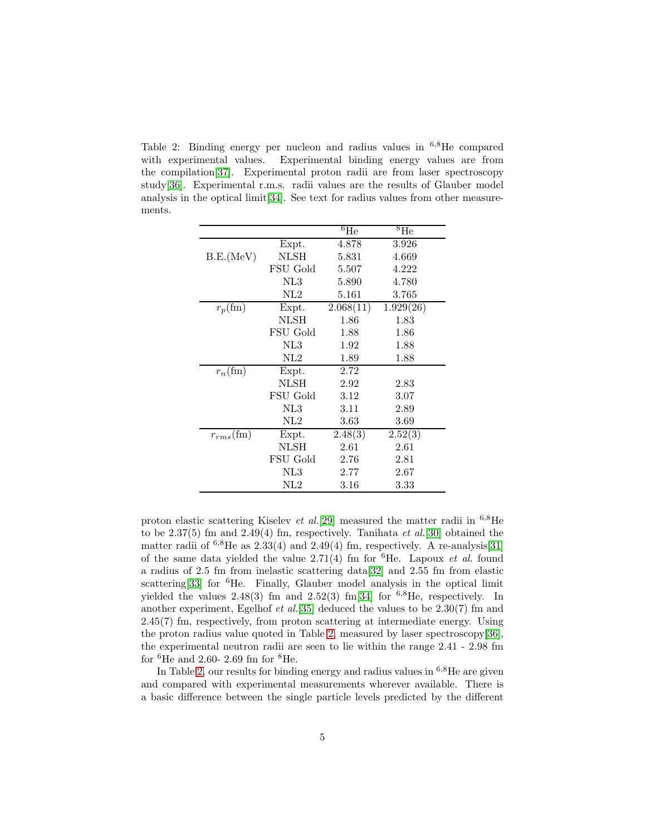<span id="page-4-0"></span>Table 2: Binding energy per nucleon and radius values in  $6,8$ He compared with experimental values. Experimental binding energy values are from the compilation[\[37\]](#page-10-9). Experimental proton radii are from laser spectroscopy study[\[36\]](#page-10-10). Experimental r.m.s. radii values are the results of Glauber model analysis in the optical limit[\[34\]](#page-10-11). See text for radius values from other measurements.

|                  |          | $^6\overline{\text{He}}$ | ${}^{8}$ He |
|------------------|----------|--------------------------|-------------|
|                  | Expt.    | 4.878                    | 3.926       |
| B.E.(MeV)        | NLSH     | 5.831                    | 4.669       |
|                  | FSU Gold | 5.507                    | 4.222       |
|                  | NL3      | 5.890                    | 4.780       |
|                  | NL2      | 5.161                    | 3.765       |
| $r_p(\text{fm})$ | Expt.    | 2.068(11)                | 1.929(26)   |
|                  | NLSH     | 1.86                     | 1.83        |
|                  | FSU Gold | 1.88                     | 1.86        |
|                  | NL3      | 1.92                     | 1.88        |
|                  | NL2      | 1.89                     | 1.88        |
| $r_n$ (fm)       | Expt.    | 2.72                     |             |
|                  | NLSH     | 2.92                     | 2.83        |
|                  | FSU Gold | 3.12                     | 3.07        |
|                  | NL3      | 3.11                     | 2.89        |
|                  | NL2      | 3.63                     | 3.69        |
| $r_{rms}$ (fm)   | Expt.    | 2.48(3)                  | 2.52(3)     |
|                  | NLSH     | 2.61                     | 2.61        |
|                  | FSU Gold | 2.76                     | 2.81        |
|                  | NL3      | 2.77                     | 2.67        |
|                  | NL2      | 3.16                     | 3.33        |

proton elastic scattering Kiselev et al.[\[29\]](#page-10-12) measured the matter radii in  $^{6,8}$ He to be  $2.37(5)$  fm and  $2.49(4)$  fm, respectively. Tanihata et al.[\[30\]](#page-10-13) obtained the matter radii of  $^{6,8}$ He as 2.33(4) and 2.49(4) fm, respectively. A re-analysis[\[31\]](#page-10-14) of the same data yielded the value 2.71(4) fm for  ${}^{6}$ He. Lapoux *et al.* found a radius of 2.5 fm from inelastic scattering data[\[32\]](#page-10-15) and 2.55 fm from elastic scattering<sup>[\[33\]](#page-10-16)</sup> for <sup>6</sup>He. Finally, Glauber model analysis in the optical limit yielded the values  $2.48(3)$  fm and  $2.52(3)$  fm[\[34\]](#page-10-11) for <sup>6,8</sup>He, respectively. In another experiment, Egelhof et al.[\[35\]](#page-10-17) deduced the values to be 2.30(7) fm and 2.45(7) fm, respectively, from proton scattering at intermediate energy. Using the proton radius value quoted in Table [2,](#page-4-0) measured by laser spectroscopy[\[36\]](#page-10-10), the experimental neutron radii are seen to lie within the range 2.41 - 2.98 fm for  ${}^{6}$ He and 2.60- 2.69 fm for  ${}^{8}$ He.

In Table [2,](#page-4-0) our results for binding energy and radius values in  $6.8$ He are given and compared with experimental measurements wherever available. There is a basic difference between the single particle levels predicted by the different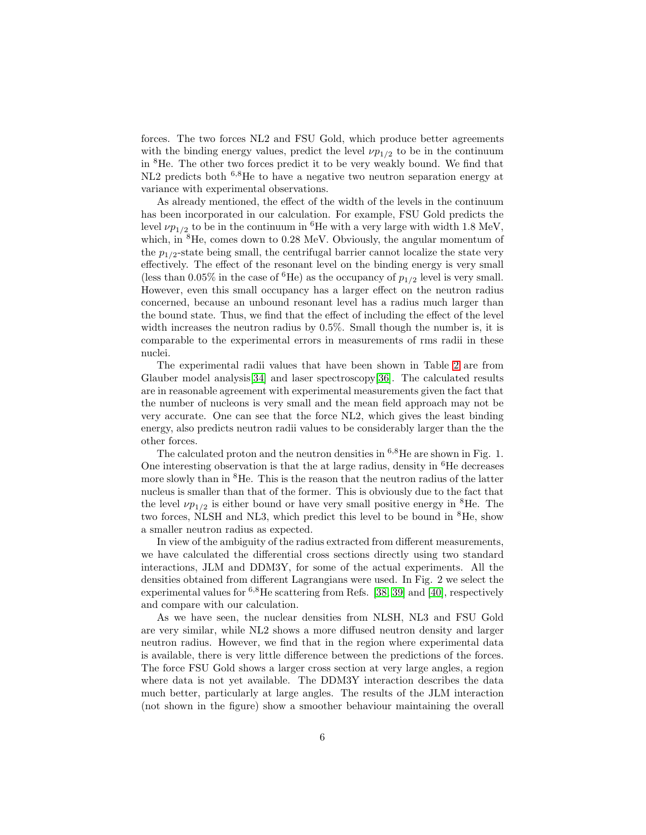forces. The two forces NL2 and FSU Gold, which produce better agreements with the binding energy values, predict the level  $\nu p_{1/2}$  to be in the continuum in <sup>8</sup>He. The other two forces predict it to be very weakly bound. We find that NL2 predicts both <sup>6,8</sup>He to have a negative two neutron separation energy at variance with experimental observations.

As already mentioned, the effect of the width of the levels in the continuum has been incorporated in our calculation. For example, FSU Gold predicts the level  $\nu p_{1/2}$  to be in the continuum in <sup>6</sup>He with a very large with width 1.8 MeV, which, in <sup>8</sup>He, comes down to 0.28 MeV. Obviously, the angular momentum of the  $p_{1/2}$ -state being small, the centrifugal barrier cannot localize the state very effectively. The effect of the resonant level on the binding energy is very small (less than 0.05% in the case of <sup>6</sup>He) as the occupancy of  $p_{1/2}$  level is very small. However, even this small occupancy has a larger effect on the neutron radius concerned, because an unbound resonant level has a radius much larger than the bound state. Thus, we find that the effect of including the effect of the level width increases the neutron radius by 0.5%. Small though the number is, it is comparable to the experimental errors in measurements of rms radii in these nuclei.

The experimental radii values that have been shown in Table [2](#page-4-0) are from Glauber model analysis[\[34\]](#page-10-11) and laser spectroscopy[\[36\]](#page-10-10). The calculated results are in reasonable agreement with experimental measurements given the fact that the number of nucleons is very small and the mean field approach may not be very accurate. One can see that the force NL2, which gives the least binding energy, also predicts neutron radii values to be considerably larger than the the other forces.

The calculated proton and the neutron densities in  $6.8$ He are shown in Fig. 1. One interesting observation is that the at large radius, density in  ${}^{6}$ He decreases more slowly than in <sup>8</sup>He. This is the reason that the neutron radius of the latter nucleus is smaller than that of the former. This is obviously due to the fact that the level  $\nu p_{1/2}$  is either bound or have very small positive energy in <sup>8</sup>He. The two forces, NLSH and NL3, which predict this level to be bound in <sup>8</sup>He, show a smaller neutron radius as expected.

In view of the ambiguity of the radius extracted from different measurements, we have calculated the differential cross sections directly using two standard interactions, JLM and DDM3Y, for some of the actual experiments. All the densities obtained from different Lagrangians were used. In Fig. 2 we select the experimental values for  ${}^{6,8}$ He scattering from Refs. [\[38,](#page-10-18) [39\]](#page-10-19) and [\[40\]](#page-10-20), respectively and compare with our calculation.

As we have seen, the nuclear densities from NLSH, NL3 and FSU Gold are very similar, while NL2 shows a more diffused neutron density and larger neutron radius. However, we find that in the region where experimental data is available, there is very little difference between the predictions of the forces. The force FSU Gold shows a larger cross section at very large angles, a region where data is not yet available. The DDM3Y interaction describes the data much better, particularly at large angles. The results of the JLM interaction (not shown in the figure) show a smoother behaviour maintaining the overall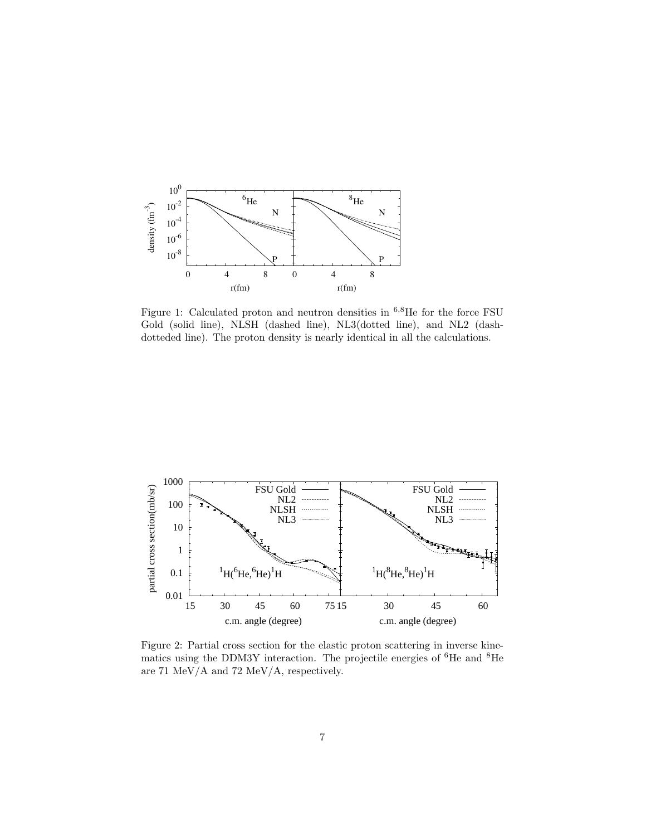

Figure 1: Calculated proton and neutron densities in  $6,8$ He for the force FSU Gold (solid line), NLSH (dashed line), NL3(dotted line), and NL2 (dashdotteded line). The proton density is nearly identical in all the calculations.



Figure 2: Partial cross section for the elastic proton scattering in inverse kinematics using the DDM3Y interaction. The projectile energies of  ${}^{6}$ He and  ${}^{8}$ He are 71 MeV/A and 72 MeV/A, respectively.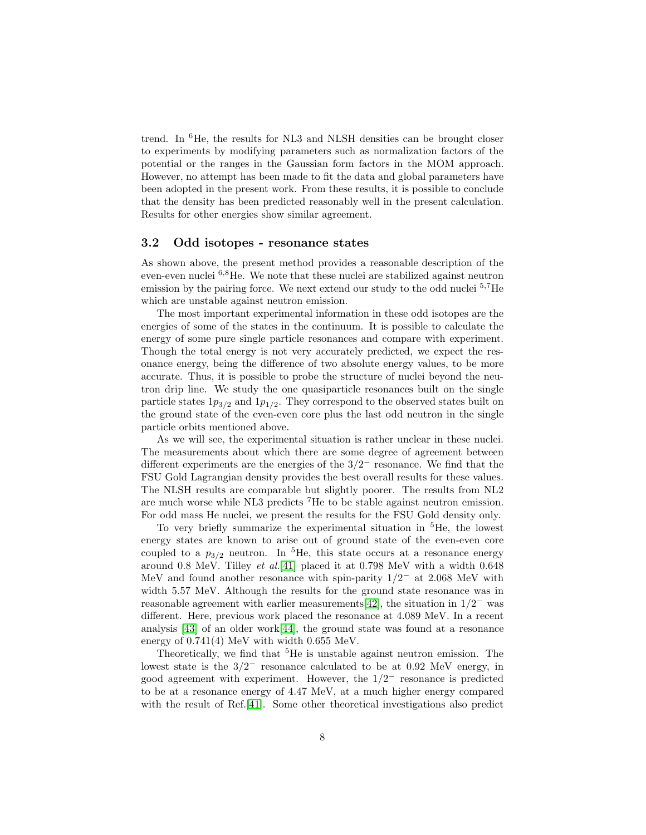trend. In <sup>6</sup>He, the results for NL3 and NLSH densities can be brought closer to experiments by modifying parameters such as normalization factors of the potential or the ranges in the Gaussian form factors in the MOM approach. However, no attempt has been made to fit the data and global parameters have been adopted in the present work. From these results, it is possible to conclude that the density has been predicted reasonably well in the present calculation. Results for other energies show similar agreement.

#### 3.2 Odd isotopes - resonance states

As shown above, the present method provides a reasonable description of the even-even nuclei <sup>6</sup>,8He. We note that these nuclei are stabilized against neutron emission by the pairing force. We next extend our study to the odd nuclei  $5.7\text{He}$ which are unstable against neutron emission.

The most important experimental information in these odd isotopes are the energies of some of the states in the continuum. It is possible to calculate the energy of some pure single particle resonances and compare with experiment. Though the total energy is not very accurately predicted, we expect the resonance energy, being the difference of two absolute energy values, to be more accurate. Thus, it is possible to probe the structure of nuclei beyond the neutron drip line. We study the one quasiparticle resonances built on the single particle states  $1p_{3/2}$  and  $1p_{1/2}$ . They correspond to the observed states built on the ground state of the even-even core plus the last odd neutron in the single particle orbits mentioned above.

As we will see, the experimental situation is rather unclear in these nuclei. The measurements about which there are some degree of agreement between different experiments are the energies of the  $3/2^-$  resonance. We find that the FSU Gold Lagrangian density provides the best overall results for these values. The NLSH results are comparable but slightly poorer. The results from NL2 are much worse while NL3 predicts <sup>7</sup>He to be stable against neutron emission. For odd mass He nuclei, we present the results for the FSU Gold density only.

To very briefly summarize the experimental situation in <sup>5</sup>He, the lowest energy states are known to arise out of ground state of the even-even core coupled to a  $p_{3/2}$  neutron. In <sup>5</sup>He, this state occurs at a resonance energy around 0.8 MeV. Tilley  $et$   $al.[41]$  $al.[41]$  placed it at 0.798 MeV with a width 0.648 MeV and found another resonance with spin-parity  $1/2^-$  at 2.068 MeV with width 5.57 MeV. Although the results for the ground state resonance was in reasonable agreement with earlier measurements [\[42\]](#page-10-22), the situation in  $1/2^-$  was different. Here, previous work placed the resonance at 4.089 MeV. In a recent analysis [\[43\]](#page-10-23) of an older work[\[44\]](#page-10-24), the ground state was found at a resonance energy of 0.741(4) MeV with width 0.655 MeV.

Theoretically, we find that <sup>5</sup>He is unstable against neutron emission. The lowest state is the  $3/2^-$  resonance calculated to be at 0.92 MeV energy, in good agreement with experiment. However, the  $1/2^-$  resonance is predicted to be at a resonance energy of 4.47 MeV, at a much higher energy compared with the result of Ref.[\[41\]](#page-10-21). Some other theoretical investigations also predict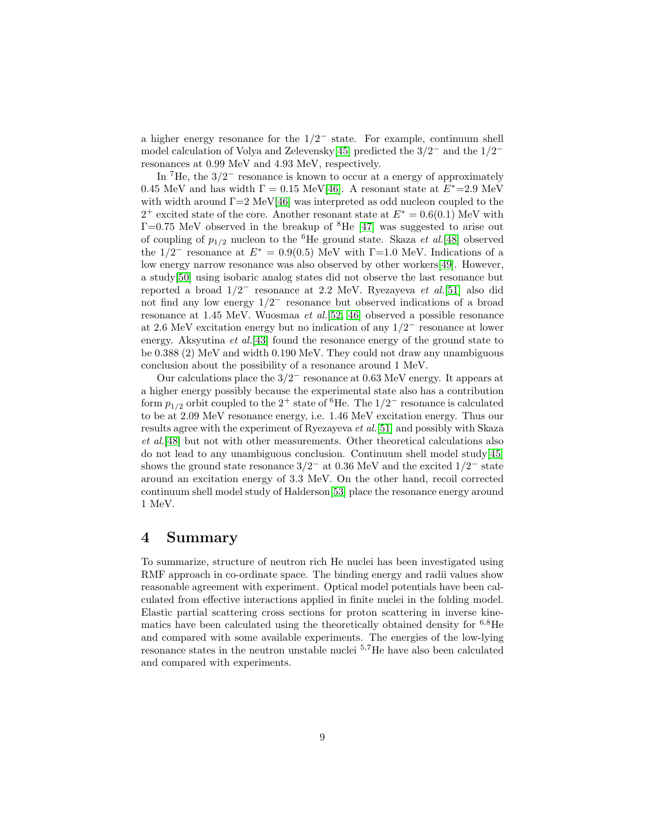a higher energy resonance for the  $1/2^-$  state. For example, continuum shell model calculation of Volya and Zelevensky<sup>[\[45\]](#page-10-25)</sup> predicted the  $3/2^-$  and the  $1/2^$ resonances at 0.99 MeV and 4.93 MeV, respectively.

In  ${}^{7}$ He, the 3/2<sup>-</sup> resonance is known to occur at a energy of approximately 0.45 MeV and has width  $\Gamma = 0.15 \text{ MeV}$ [\[46\]](#page-11-0). A resonant state at  $E^* = 2.9 \text{ MeV}$ with width around  $\Gamma = 2 \text{ MeV} [46]$  $\Gamma = 2 \text{ MeV} [46]$  was interpreted as odd nucleon coupled to the <sup>2+</sup> excited state of the core. Another resonant state at  $E^* = 0.6(0.1)$  MeV with  $\Gamma$ =0.75 MeV observed in the breakup of <sup>8</sup>He [\[47\]](#page-11-1) was suggested to arise out of coupling of  $p_{1/2}$  nucleon to the <sup>6</sup>He ground state. Skaza *et al.*[\[48\]](#page-11-2) observed the 1/2<sup>-</sup> resonance at  $E^* = 0.9(0.5)$  MeV with Γ=1.0 MeV. Indications of a low energy narrow resonance was also observed by other workers[\[49\]](#page-11-3). However, a study[\[50\]](#page-11-4) using isobaric analog states did not observe the last resonance but reported a broad 1/2<sup>−</sup> resonance at 2.2 MeV. Ryezayeva et al.[\[51\]](#page-11-5) also did not find any low energy 1/2<sup>−</sup> resonance but observed indications of a broad resonance at 1.45 MeV. Wuosmaa et al.[\[52,](#page-11-6) [46\]](#page-11-0) observed a possible resonance at 2.6 MeV excitation energy but no indication of any 1/2<sup>−</sup> resonance at lower energy. Aksyutina *et al.*[\[43\]](#page-10-23) found the resonance energy of the ground state to be 0.388 (2) MeV and width 0.190 MeV. They could not draw any unambiguous conclusion about the possibility of a resonance around 1 MeV.

Our calculations place the  $3/2^-$  resonance at 0.63 MeV energy. It appears at a higher energy possibly because the experimental state also has a contribution form  $p_{1/2}$  orbit coupled to the 2<sup>+</sup> state of <sup>6</sup>He. The 1/2<sup>-</sup> resonance is calculated to be at 2.09 MeV resonance energy, i.e. 1.46 MeV excitation energy. Thus our results agree with the experiment of Ryezayeva et al.[\[51\]](#page-11-5) and possibly with Skaza et al.[\[48\]](#page-11-2) but not with other measurements. Other theoretical calculations also do not lead to any unambiguous conclusion. Continuum shell model study[\[45\]](#page-10-25) shows the ground state resonance  $3/2^-$  at 0.36 MeV and the excited  $1/2^-$  state around an excitation energy of 3.3 MeV. On the other hand, recoil corrected continuum shell model study of Halderson[\[53\]](#page-11-7) place the resonance energy around 1 MeV.

### 4 Summary

To summarize, structure of neutron rich He nuclei has been investigated using RMF approach in co-ordinate space. The binding energy and radii values show reasonable agreement with experiment. Optical model potentials have been calculated from effective interactions applied in finite nuclei in the folding model. Elastic partial scattering cross sections for proton scattering in inverse kinematics have been calculated using the theoretically obtained density for <sup>6</sup>,8He and compared with some available experiments. The energies of the low-lying resonance states in the neutron unstable nuclei <sup>5</sup>,7He have also been calculated and compared with experiments.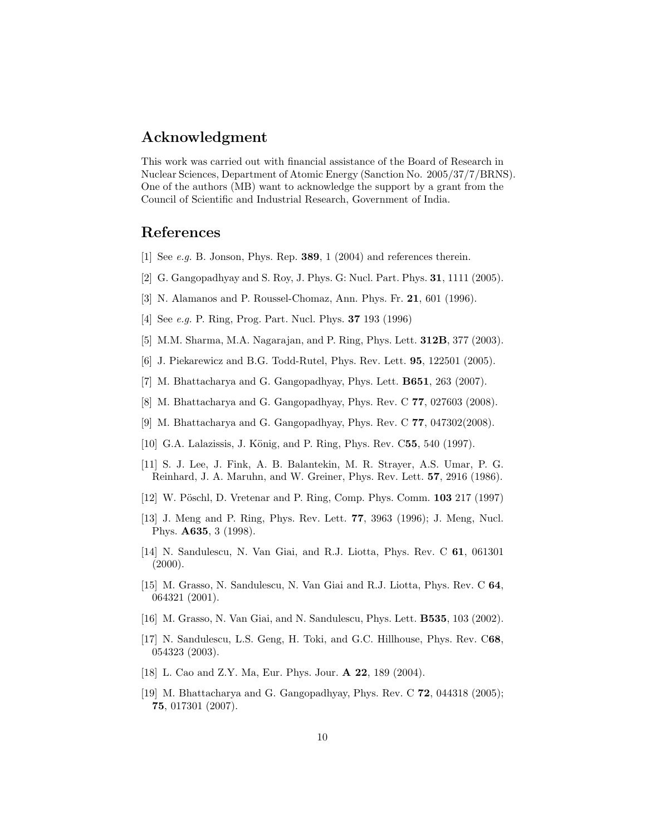## Acknowledgment

This work was carried out with financial assistance of the Board of Research in Nuclear Sciences, Department of Atomic Energy (Sanction No. 2005/37/7/BRNS). One of the authors (MB) want to acknowledge the support by a grant from the Council of Scientific and Industrial Research, Government of India.

### <span id="page-9-0"></span>References

- <span id="page-9-1"></span>[1] See e.g. B. Jonson, Phys. Rep. 389, 1 (2004) and references therein.
- <span id="page-9-2"></span>[2] G. Gangopadhyay and S. Roy, J. Phys. G: Nucl. Part. Phys. 31, 1111 (2005).
- <span id="page-9-3"></span>[3] N. Alamanos and P. Roussel-Chomaz, Ann. Phys. Fr. 21, 601 (1996).
- <span id="page-9-4"></span>[4] See e.g. P. Ring, Prog. Part. Nucl. Phys. 37 193 (1996)
- <span id="page-9-5"></span>[5] M.M. Sharma, M.A. Nagarajan, and P. Ring, Phys. Lett. 312B, 377 (2003).
- <span id="page-9-6"></span>[6] J. Piekarewicz and B.G. Todd-Rutel, Phys. Rev. Lett. 95, 122501 (2005).
- <span id="page-9-7"></span>[7] M. Bhattacharya and G. Gangopadhyay, Phys. Lett. B651, 263 (2007).
- <span id="page-9-8"></span>[8] M. Bhattacharya and G. Gangopadhyay, Phys. Rev. C 77, 027603 (2008).
- <span id="page-9-9"></span>[9] M. Bhattacharya and G. Gangopadhyay, Phys. Rev. C 77, 047302(2008).
- <span id="page-9-10"></span>[10] G.A. Lalazissis, J. König, and P. Ring, Phys. Rev. C55, 540 (1997).
- [11] S. J. Lee, J. Fink, A. B. Balantekin, M. R. Strayer, A.S. Umar, P. G. Reinhard, J. A. Maruhn, and W. Greiner, Phys. Rev. Lett. 57, 2916 (1986).
- <span id="page-9-12"></span><span id="page-9-11"></span>[12] W. Pöschl, D. Vretenar and P. Ring, Comp. Phys. Comm. 103 217 (1997)
- [13] J. Meng and P. Ring, Phys. Rev. Lett. 77, 3963 (1996); J. Meng, Nucl. Phys. A635, 3 (1998).
- <span id="page-9-13"></span>[14] N. Sandulescu, N. Van Giai, and R.J. Liotta, Phys. Rev. C 61, 061301  $(2000).$
- <span id="page-9-14"></span>[15] M. Grasso, N. Sandulescu, N. Van Giai and R.J. Liotta, Phys. Rev. C 64, 064321 (2001).
- <span id="page-9-16"></span><span id="page-9-15"></span>[16] M. Grasso, N. Van Giai, and N. Sandulescu, Phys. Lett. B535, 103 (2002).
- [17] N. Sandulescu, L.S. Geng, H. Toki, and G.C. Hillhouse, Phys. Rev. C68, 054323 (2003).
- <span id="page-9-18"></span><span id="page-9-17"></span>[18] L. Cao and Z.Y. Ma, Eur. Phys. Jour. A 22, 189 (2004).
- [19] M. Bhattacharya and G. Gangopadhyay, Phys. Rev. C **72**, 044318 (2005); 75, 017301 (2007).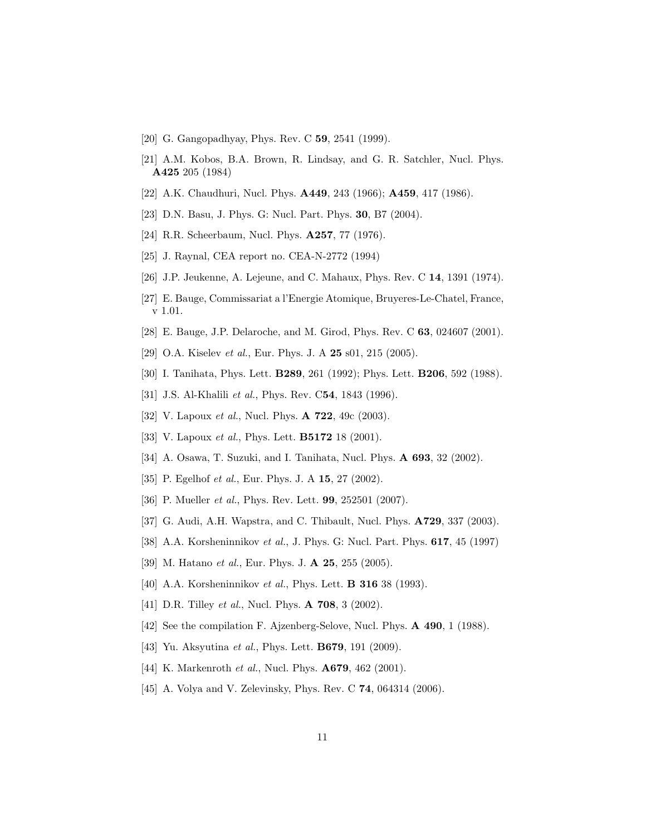- <span id="page-10-1"></span><span id="page-10-0"></span>[20] G. Gangopadhyay, Phys. Rev. C 59, 2541 (1999).
- [21] A.M. Kobos, B.A. Brown, R. Lindsay, and G. R. Satchler, Nucl. Phys. A425 205 (1984)
- <span id="page-10-3"></span><span id="page-10-2"></span>[22] A.K. Chaudhuri, Nucl. Phys. **A449**, 243 (1966); **A459**, 417 (1986).
- <span id="page-10-4"></span>[23] D.N. Basu, J. Phys. G: Nucl. Part. Phys. **30**, B7 (2004).
- <span id="page-10-6"></span>[24] R.R. Scheerbaum, Nucl. Phys. A257, 77 (1976).
- <span id="page-10-7"></span>[25] J. Raynal, CEA report no. CEA-N-2772 (1994)
- <span id="page-10-5"></span>[26] J.P. Jeukenne, A. Lejeune, and C. Mahaux, Phys. Rev. C 14, 1391 (1974).
- <span id="page-10-8"></span>[27] E. Bauge, Commissariat a l'Energie Atomique, Bruyeres-Le-Chatel, France, v 1.01.
- <span id="page-10-12"></span>[28] E. Bauge, J.P. Delaroche, and M. Girod, Phys. Rev. C 63, 024607 (2001).
- <span id="page-10-13"></span>[29] O.A. Kiselev *et al.*, Eur. Phys. J. A **25** s01, 215 (2005).
- <span id="page-10-14"></span>[30] I. Tanihata, Phys. Lett. **B289**, 261 (1992); Phys. Lett. **B206**, 592 (1988).
- <span id="page-10-15"></span>[31] J.S. Al-Khalili et al., Phys. Rev. C54, 1843 (1996).
- <span id="page-10-16"></span>[32] V. Lapoux *et al.*, Nucl. Phys. **A 722**, 49c (2003).
- <span id="page-10-11"></span>[33] V. Lapoux *et al.*, Phys. Lett. **B5172** 18 (2001).
- <span id="page-10-17"></span>[34] A. Osawa, T. Suzuki, and I. Tanihata, Nucl. Phys. A 693, 32 (2002).
- <span id="page-10-10"></span>[35] P. Egelhof *et al.*, Eur. Phys. J. A **15**, 27 (2002).
- <span id="page-10-9"></span>[36] P. Mueller *et al.*, Phys. Rev. Lett. **99**, 252501 (2007).
- <span id="page-10-18"></span>[37] G. Audi, A.H. Wapstra, and C. Thibault, Nucl. Phys. **A729**, 337 (2003).
- <span id="page-10-19"></span>[38] A.A. Korsheninnikov et al., J. Phys. G: Nucl. Part. Phys. **617**, 45 (1997)
- <span id="page-10-20"></span>[39] M. Hatano et al., Eur. Phys. J. **A 25**, 255 (2005).
- <span id="page-10-21"></span>[40] A.A. Korsheninnikov *et al.*, Phys. Lett. **B 316** 38 (1993).
- <span id="page-10-22"></span>[41] D.R. Tilley *et al.*, Nucl. Phys. **A 708**, 3 (2002).
- <span id="page-10-23"></span>[42] See the compilation F. Ajzenberg-Selove, Nucl. Phys. **A 490**, 1 (1988).
- <span id="page-10-24"></span>[43] Yu. Aksyutina *et al.*, Phys. Lett. **B679**, 191 (2009).
- <span id="page-10-25"></span>[44] K. Markenroth *et al.*, Nucl. Phys. **A679**, 462 (2001).
- [45] A. Volya and V. Zelevinsky, Phys. Rev. C **74**, 064314 (2006).